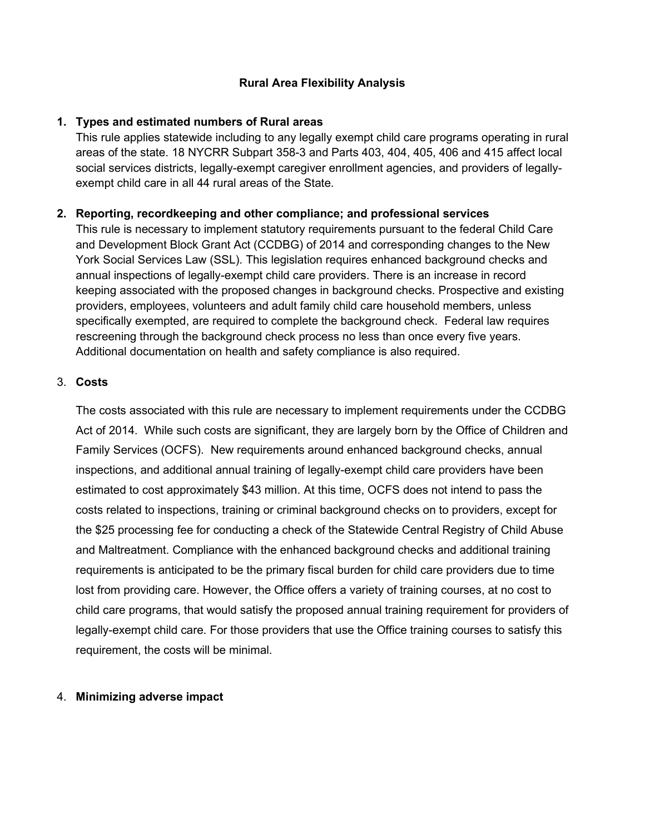### **Rural Area Flexibility Analysis**

### **1. Types and estimated numbers of Rural areas**

This rule applies statewide including to any legally exempt child care programs operating in rural areas of the state. 18 NYCRR Subpart 358-3 and Parts 403, 404, 405, 406 and 415 affect local social services districts, legally-exempt caregiver enrollment agencies, and providers of legallyexempt child care in all 44 rural areas of the State.

# **2. Reporting, recordkeeping and other compliance; and professional services**

This rule is necessary to implement statutory requirements pursuant to the federal Child Care and Development Block Grant Act (CCDBG) of 2014 and corresponding changes to the New York Social Services Law (SSL). This legislation requires enhanced background checks and annual inspections of legally-exempt child care providers. There is an increase in record keeping associated with the proposed changes in background checks. Prospective and existing providers, employees, volunteers and adult family child care household members, unless specifically exempted, are required to complete the background check. Federal law requires rescreening through the background check process no less than once every five years. Additional documentation on health and safety compliance is also required.

# 3. **Costs**

The costs associated with this rule are necessary to implement requirements under the CCDBG Act of 2014. While such costs are significant, they are largely born by the Office of Children and Family Services (OCFS). New requirements around enhanced background checks, annual inspections, and additional annual training of legally-exempt child care providers have been estimated to cost approximately \$43 million. At this time, OCFS does not intend to pass the costs related to inspections, training or criminal background checks on to providers, except for the \$25 processing fee for conducting a check of the Statewide Central Registry of Child Abuse and Maltreatment. Compliance with the enhanced background checks and additional training requirements is anticipated to be the primary fiscal burden for child care providers due to time lost from providing care. However, the Office offers a variety of training courses, at no cost to child care programs, that would satisfy the proposed annual training requirement for providers of legally-exempt child care. For those providers that use the Office training courses to satisfy this requirement, the costs will be minimal.

#### 4. **Minimizing adverse impact**